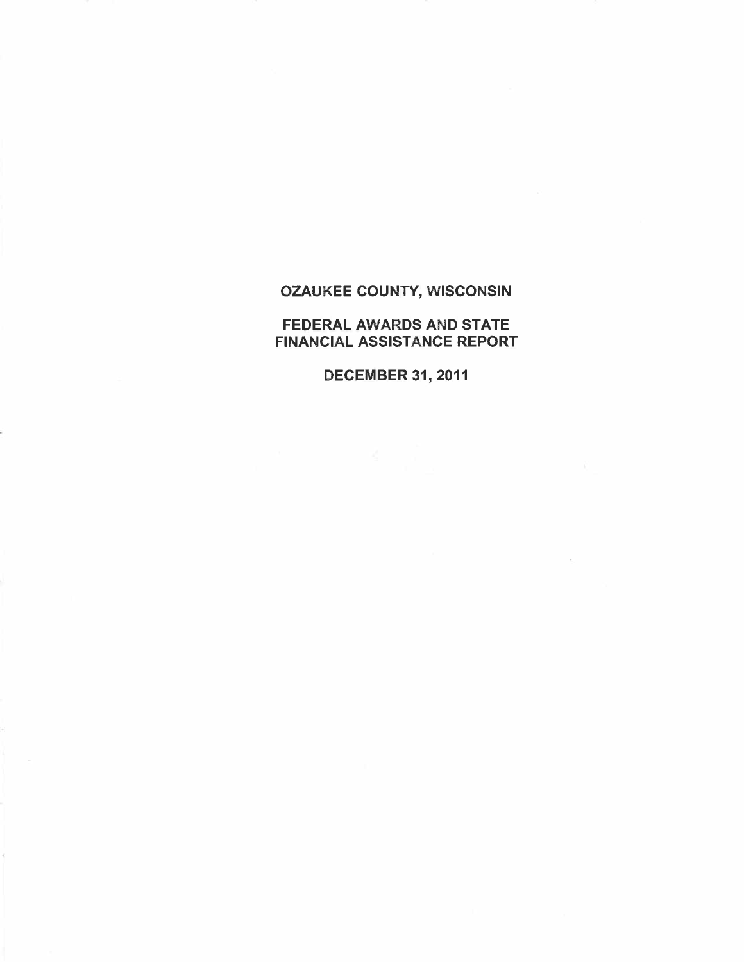FEDERAL AWARDS AND STATE FINANCIAL ASSISTANCE REPORT

DECEMBER 31, 2011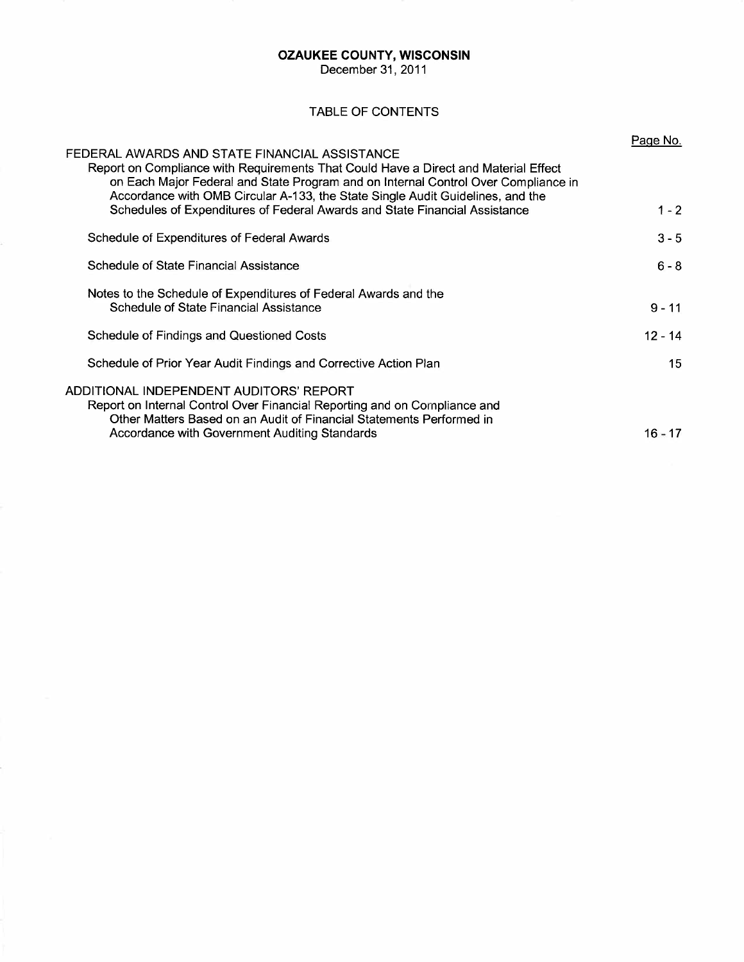December 31, 2011

## TABLE OF CONTENTS

| FEDERAL AWARDS AND STATE FINANCIAL ASSISTANCE<br>Report on Compliance with Requirements That Could Have a Direct and Material Effect<br>on Each Major Federal and State Program and on Internal Control Over Compliance in<br>Accordance with OMB Circular A-133, the State Single Audit Guidelines, and the | Page No.  |
|--------------------------------------------------------------------------------------------------------------------------------------------------------------------------------------------------------------------------------------------------------------------------------------------------------------|-----------|
| Schedules of Expenditures of Federal Awards and State Financial Assistance                                                                                                                                                                                                                                   | $1 - 2$   |
| Schedule of Expenditures of Federal Awards                                                                                                                                                                                                                                                                   | $3 - 5$   |
| Schedule of State Financial Assistance                                                                                                                                                                                                                                                                       | $6 - 8$   |
| Notes to the Schedule of Expenditures of Federal Awards and the<br>Schedule of State Financial Assistance                                                                                                                                                                                                    | $9 - 11$  |
| Schedule of Findings and Questioned Costs                                                                                                                                                                                                                                                                    | $12 - 14$ |
| Schedule of Prior Year Audit Findings and Corrective Action Plan                                                                                                                                                                                                                                             | 15        |
| ADDITIONAL INDEPENDENT AUDITORS' REPORT<br>Report on Internal Control Over Financial Reporting and on Compliance and<br>Other Matters Based on an Audit of Financial Statements Performed in<br>Accordance with Government Auditing Standards                                                                | 16 - 17   |
|                                                                                                                                                                                                                                                                                                              |           |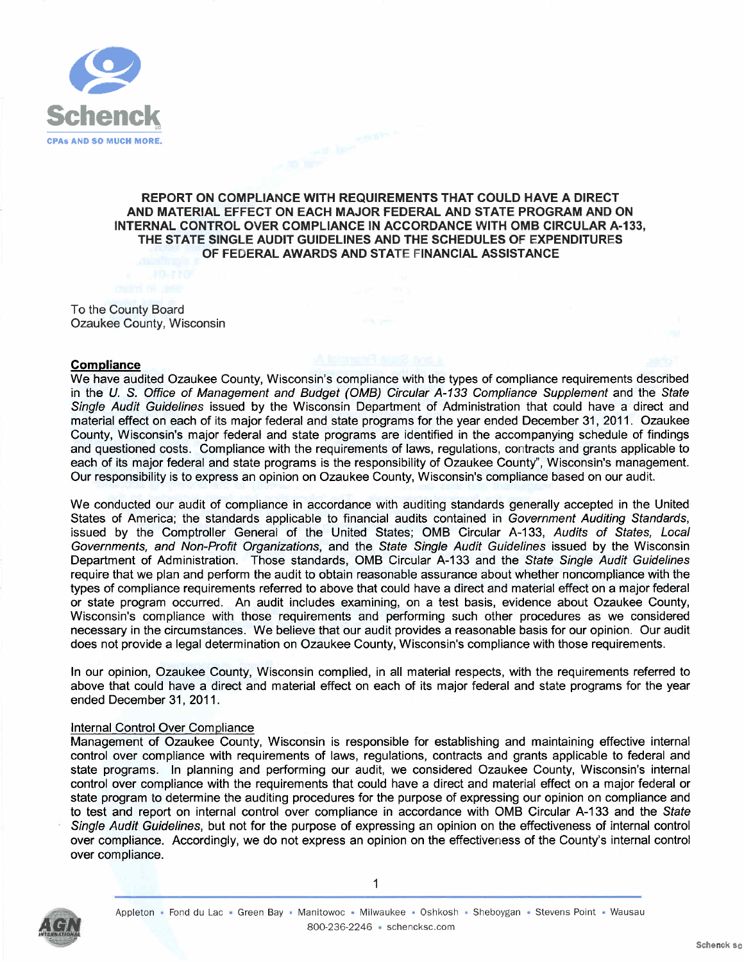

## **REPORT ON COMPLIANCE WITH REQUIREMENTS THAT COULD HAVE A DIRECT AND MATERIAL EFFECT ON EACH MAJOR FEDERAL AND STATE PROGRAM AND ON INTERNAL CONTROL OVER COMPLIANCE IN ACCORDANCE WITH OMB CIRCULAR A-133, THE STATE SINGLE AUDIT GUIDELINES AND THE SCHEDULES OF EXPENDITURES OF FEDERAL AWARDS AND STATE FINANCIAL ASSISTANCE**

To the County Board Ozaukee County, Wisconsin

#### **Compliance**

We have audited Ozaukee County, Wisconsin's compliance with the types of compliance requirements described in the U. S. Office of Management and Budget (OMB) Circular A-133 Compliance Supplement and the State Single Audit Guidelines issued by the Wisconsin Department of Administration that could have a direct and material effect on each of its major federal and state programs for the year ended December 31, 2011. Ozaukee County, Wisconsin's major federal and state programs are identified in the accompanying schedule of findings and questioned costs. Compliance with the requirements of laws, regulations, contracts and grants applicable to each of its major federal and state programs is the responsibility of Ozaukee County", Wisconsin's management. Our responsibility is to express an opinion on Ozaukee County, Wisconsin's compliance based on our audit.

We conducted our audit of compliance in accordance with auditing standards generally accepted in the United States of America; the standards applicable to financial audits contained in Government Auditing Standards, issued by the Comptroller General of the United States; OMB Circular A-133, Audits of States, Local Governments, and Non-Profit Organizations, and the State Single Audit Guidelines issued by the Wisconsin Department of Administration. Those standards, OMB Circular A-133 and the State Single Audit Guidelines require that we plan and perform the audit to obtain reasonable assurance about whether noncompliance with the types of compliance requirements referred to above that could have a direct and material effect on a major federal or state program occurred. An audit includes examining, on a test basis, evidence about Ozaukee County, Wisconsin's compliance with those requirements and performing such other procedures as we considered necessary in the circumstances. We believe that our audit provides a reasonable basis for our opinion. Our audit does not provide a legal determination on Ozaukee County, Wisconsin's compliance with those requirements.

In our opinion, Ozaukee County, Wisconsin complied, in all material respects, with the requirements referred to above that could have a direct and material effect on each of its major federal and state programs for the year ended December 31, 2011.

### Internal Control Over Compliance

Management of Ozaukee County, Wisconsin is responsible for establishing and maintaining effective internal control over compliance with requirements of laws, regulations, contracts and grants applicable to federal and state programs. In planning and performing our audit, we considered Ozaukee County, Wisconsin's internal control over compliance with the requirements that could have a direct and material effect on a major federal or state program to determine the auditing procedures for the purpose of expressing our opinion on compliance and to test and report on internal control over compliance in accordance with OMB Circular A-133 and the State Single Audit Guidelines, but not for the purpose of expressing an opinion on the effectiveness of internal control over compliance. Accordingly, we do not express an opinion on the effectiveness of the County's internal control over compliance.



 $\mathbf{1}$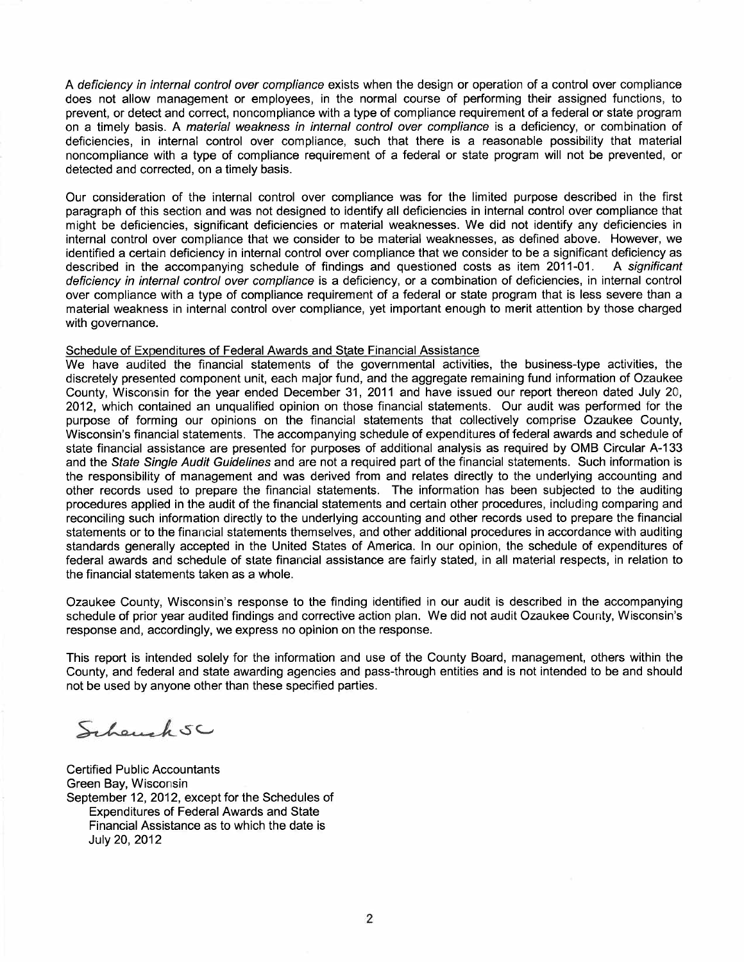A deficiency in internal control over compliance exists when the design or operation of a control over compliance does not allow management or employees, in the normal course of performing their assigned functions, to prevent, or detect and correct, noncompliance with a type of compliance requirement of a federal or state program on a timely basis. A material weakness in internal control over compliance is a deficiency, or combination of deficiencies, in internal control over compliance, such that there is a reasonable possibility that material noncompliance with a type of compliance requirement of a federal or state program will not be prevented, or detected and corrected, on a timely basis.

Our consideration of the internal control over compliance was for the limited purpose described in the first paragraph of this section and was not designed to identify all deficiencies in internal control over compliance that might be deficiencies, significant deficiencies or material weaknesses. We did not identify any deficiencies in internal control over compliance that we consider to be material weaknesses, as defined above. However, we identified a certain deficiency in internal control over compliance that we consider to be a significant deficiency as<br>described in the accompanying schedule of findings and questioned costs as item 2011-01. A significant described in the accompanying schedule of findings and questioned costs as item 2011-01. deficiency in internal control over compliance is a deficiency, or a combination of deficiencies, in internal control over compliance with a type of compliance requirement of a federal or state program that is less severe than a material weakness in internal control over compliance, yet important enough to merit attention by those charged with governance.

#### Schedule of Expenditures of Federal Awards and State Financial Assistance

We have audited the financial statements of the governmental activities, the business-type activities, the discretely presented component unit, each major fund, and the aggregate remaining fund information of Ozaukee County, Wisconsin for the year ended December 31, 2011 and have issued our report thereon dated July 20, 2012, which contained an unqualified opinion on those financial statements. Our audit was performed for the purpose of forming our opinions on the financial statements that collectively comprise Ozaukee County, Wisconsin's financial statements. The accompanying schedule of expenditures of federal awards and schedule of state financial assistance are presented for purposes of additional analysis as required by OMB Circular A-133 and the State Single Audit Guidelines and are not a required part of the financial statements. Such information is the responsibility of management and was derived from and relates directly to the underlying accounting and other records used to prepare the financial statements. The information has been subjected to the auditing procedures applied in the audit of the financial statements and certain other procedures, including comparing and reconciling such information directly to the underlying accounting and other records used to prepare the financial statements or to the financial statements themselves, and other additional procedures in accordance with auditing standards generally accepted in the United States of America. In our opinion, the schedule of expenditures of federal awards and schedule of state financial assistance are fairly stated, in all material respects, in relation to the financial statements taken as a whole.

Ozaukee County, Wisconsin's response to the finding identified in our audit is described in the accompanying schedule of prior year audited findings and corrective action plan. We did not audit Ozaukee County, Wisconsin's response and, accordingly, we express no opinion on the response.

This report is intended solely for the information and use of the County Board, management, others within the County, and federal and state awarding agencies and pass-through entities and is not intended to be and should not be used by anyone other than these specified parties.

Scheuch SC

Certified Public Accountants Green Bay, Wisconsin September 12, 2012, except for the Schedules of Expenditures of Federal Awards and State Financial Assistance as to which the date is July 20, 2012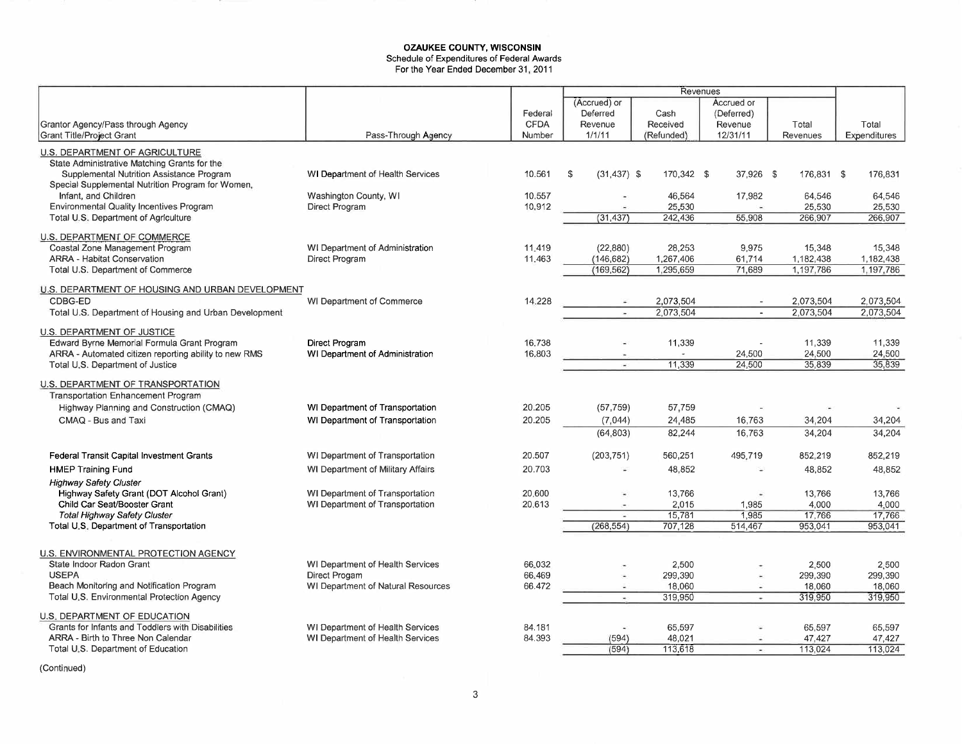#### **OZAUKEE COUNTY, WISCONSIN**  Schedule of Expenditures of Federal Awards For the Year Ended December 31, 2011

|                                                                                |                                         |             | Revenues             |                   |                          |                   |                   |
|--------------------------------------------------------------------------------|-----------------------------------------|-------------|----------------------|-------------------|--------------------------|-------------------|-------------------|
|                                                                                |                                         |             | (Accrued) or         |                   | Accrued or               |                   |                   |
|                                                                                |                                         | Federal     | Deferred             | Cash              | (Deferred)               |                   |                   |
| Grantor Agency/Pass through Agency                                             |                                         | <b>CFDA</b> | Revenue              | Received          | Revenue                  | Total             | Total             |
| Grant Title/Project Grant                                                      | Pass-Through Agency                     | Number      | 1/1/11               | (Refunded)        | 12/31/11                 | Revenues          | Expenditures      |
|                                                                                |                                         |             |                      |                   |                          |                   |                   |
| U.S. DEPARTMENT OF AGRICULTURE                                                 |                                         |             |                      |                   |                          |                   |                   |
| State Administrative Matching Grants for the                                   |                                         |             |                      |                   |                          |                   |                   |
| Supplemental Nutrition Assistance Program                                      | WI Department of Health Services        | 10.561      | $(31, 437)$ \$<br>\$ | 170,342 \$        | 37,926 \$                | 176,831 \$        | 176,831           |
| Special Supplemental Nutrition Program for Women,<br>Infant, and Children      |                                         | 10.557      |                      |                   |                          |                   |                   |
| Environmental Quality Incentives Program                                       | Washington County, WI<br>Direct Program | 10.912      |                      | 46,564<br>25,530  | 17,982                   | 64,546<br>25,530  | 64,546<br>25,530  |
| Total U.S. Department of Agriculture                                           |                                         |             | (31, 437)            | 242,436           | 55,908                   | 266,907           | 266,907           |
|                                                                                |                                         |             |                      |                   |                          |                   |                   |
| U.S. DEPARTMENT OF COMMERCE                                                    |                                         |             |                      |                   |                          |                   |                   |
| Coastal Zone Management Program                                                | WI Department of Administration         | 11.419      | (22, 880)            | 28,253            | 9.975                    | 15,348            | 15,348            |
| <b>ARRA - Habitat Conservation</b>                                             | Direct Program                          | 11.463      | (146, 682)           | 1,267,406         | 61,714                   | 1,182,438         | 1,182,438         |
| Total U.S. Department of Commerce                                              |                                         |             | (169, 562)           | 1,295,659         | 71,689                   | 1,197,786         | 1,197,786         |
|                                                                                |                                         |             |                      |                   |                          |                   |                   |
| U.S. DEPARTMENT OF HOUSING AND URBAN DEVELOPMENT                               |                                         |             |                      |                   |                          |                   |                   |
| CDBG-ED                                                                        | WI Department of Commerce               | 14.228      |                      | 2,073,504         |                          | 2,073,504         | 2,073,504         |
| Total U.S. Department of Housing and Urban Development                         |                                         |             | o.                   | 2,073,504         | $\sim$                   | 2,073,504         | 2,073,504         |
| U.S. DEPARTMENT OF JUSTICE                                                     |                                         |             |                      |                   |                          |                   |                   |
| Edward Byrne Memorial Formula Grant Program                                    | Direct Program                          | 16.738      |                      | 11,339            |                          | 11,339            | 11,339            |
| ARRA - Automated citizen reporting ability to new RMS                          | WI Department of Administration         | 16.803      |                      | $\sim$            | 24,500                   | 24,500            | 24,500            |
| Total U.S. Department of Justice                                               |                                         |             | $\sim$               | 11,339            | 24,500                   | 35,839            | 35,839            |
|                                                                                |                                         |             |                      |                   |                          |                   |                   |
| U.S. DEPARTMENT OF TRANSPORTATION                                              |                                         |             |                      |                   |                          |                   |                   |
| <b>Transportation Enhancement Program</b>                                      |                                         |             |                      |                   |                          |                   |                   |
| Highway Planning and Construction (CMAQ)                                       | WI Department of Transportation         | 20.205      | (57, 759)            | 57,759            |                          |                   |                   |
| CMAQ - Bus and Taxi                                                            | WI Department of Transportation         | 20.205      | (7,044)              | 24,485            | 16,763                   | 34,204            | 34,204            |
|                                                                                |                                         |             | (64, 803)            | 82,244            | 16,763                   | 34,204            | 34,204            |
|                                                                                |                                         |             |                      |                   |                          |                   |                   |
| Federal Transit Capital Investment Grants                                      | WI Department of Transportation         | 20.507      | (203, 751)           | 560,251           | 495,719                  | 852,219           | 852,219           |
| <b>HMEP Training Fund</b>                                                      | WI Department of Military Affairs       | 20.703      |                      | 48,852            |                          |                   |                   |
|                                                                                |                                         |             |                      |                   |                          | 48,852            | 48,852            |
| <b>Highway Safety Cluster</b>                                                  |                                         |             |                      |                   |                          |                   |                   |
| Highway Safety Grant (DOT Alcohol Grant)                                       | WI Department of Transportation         | 20.600      |                      | 13,766            |                          | 13,766            | 13,766            |
| Child Car Seat/Booster Grant                                                   | WI Department of Transportation         | 20.613      | ×                    | 2,015             | 1,985                    | 4,000             | 4,000             |
| <b>Total Highway Safety Cluster</b><br>Total U.S. Department of Transportation |                                         |             | (268, 554)           | 15,781<br>707,128 | 1,985<br>514,467         | 17,766<br>953,041 | 17,766<br>953,041 |
|                                                                                |                                         |             |                      |                   |                          |                   |                   |
|                                                                                |                                         |             |                      |                   |                          |                   |                   |
| U.S. ENVIRONMENTAL PROTECTION AGENCY                                           |                                         |             |                      |                   |                          |                   |                   |
| State Indoor Radon Grant                                                       | WI Department of Health Services        | 66.032      |                      | 2,500             |                          | 2,500             | 2,500             |
| <b>USEPA</b>                                                                   | Direct Progam                           | 66.469      |                      | 299,390           |                          | 299,390           | 299,390           |
| Beach Monitoring and Notification Program                                      | WI Department of Natural Resources      | 66.472      | ×.                   | 18,060            | $\overline{\phantom{a}}$ | 18,060            | 18,060            |
| Total U.S. Environmental Protection Agency                                     |                                         |             | $\sim$               | 319,950           |                          | 319,950           | 319,950           |
| U.S. DEPARTMENT OF EDUCATION                                                   |                                         |             |                      |                   |                          |                   |                   |
| Grants for Infants and Toddlers with Disabilities                              | WI Department of Health Services        | 84.181      |                      | 65,597            |                          | 65,597            | 65,597            |
| ARRA - Birth to Three Non Calendar                                             | WI Department of Health Services        | 84.393      | (594)                | 48.021            | $\overline{\phantom{a}}$ | 47,427            | 47,427            |
| Total U.S. Department of Education                                             |                                         |             | (594)                | 113,618           | ٠                        | 113,024           | 113,024           |
|                                                                                |                                         |             |                      |                   |                          |                   |                   |

(Continued)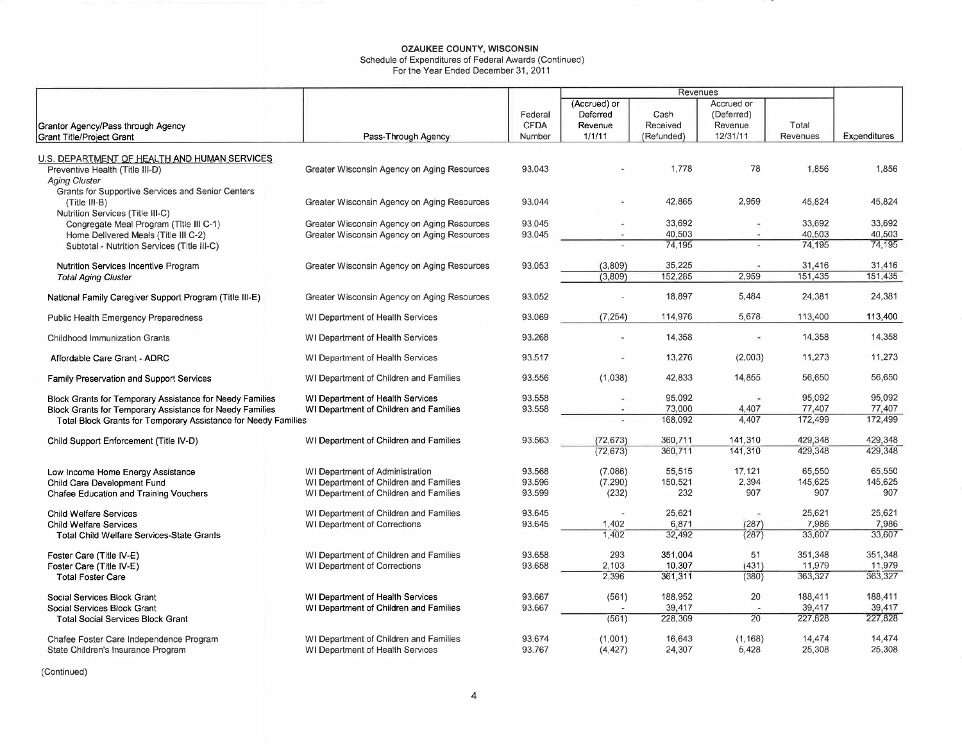Schedule of Expenditures of Federal Awards (Continued)

For the Year Ended December 31, 2011

|                                                                                                         |                                             |                        | Revenues                            |                  |                                     |          |              |
|---------------------------------------------------------------------------------------------------------|---------------------------------------------|------------------------|-------------------------------------|------------------|-------------------------------------|----------|--------------|
| Grantor Agency/Pass through Agency                                                                      |                                             | Federal<br><b>CFDA</b> | (Accrued) or<br>Deferred<br>Revenue | Cash<br>Received | Accrued or<br>(Deferred)<br>Revenue | Total    |              |
| Grant Title/Project Grant                                                                               | Pass-Through Agency                         | Number                 | 1/1/11                              | (Refunded)       | 12/31/11                            | Revenues | Expenditures |
|                                                                                                         |                                             |                        |                                     |                  |                                     |          |              |
| U.S. DEPARTMENT OF HEALTH AND HUMAN SERVICES<br>Preventive Health (Title III-D)<br><b>Aging Cluster</b> | Greater Wisconsin Agency on Aging Resources | 93.043                 |                                     | 1,778            | 78                                  | 1.856    | 1,856        |
| Grants for Supportive Services and Senior Centers<br>(Title III-B)<br>Nutrition Services (Title III-C)  | Greater Wisconsin Agency on Aging Resources | 93.044                 |                                     | 42,865           | 2,959                               | 45,824   | 45,824       |
| Congregate Meal Program (Title III C-1)                                                                 | Greater Wisconsin Agency on Aging Resources | 93.045                 |                                     | 33,692           |                                     | 33,692   | 33.692       |
| Home Delivered Meals (Title III C-2)                                                                    | Greater Wisconsin Agency on Aging Resources | 93.045                 |                                     | 40,503           |                                     | 40,503   | 40,503       |
| Subtotal - Nutrition Services (Title III-C)                                                             |                                             |                        |                                     | 74.195           |                                     | 74,195   | 74.195       |
| Nutrition Services Incentive Program                                                                    | Greater Wisconsin Agency on Aging Resources | 93.053                 | (3,809)                             | 35,225           |                                     | 31,416   | 31,416       |
| <b>Total Aging Cluster</b>                                                                              |                                             |                        | (3.809)                             | 152,285          | 2,959                               | 151,435  | 151,435      |
| National Family Caregiver Support Program (Title III-E)                                                 | Greater Wisconsin Agency on Aging Resources | 93.052                 |                                     | 18,897           | 5,484                               | 24,381   | 24,381       |
| Public Health Emergency Preparedness                                                                    | WI Department of Health Services            | 93.069                 | (7, 254)                            | 114,976          | 5,678                               | 113,400  | 113,400      |
| <b>Childhood Immunization Grants</b>                                                                    | WI Department of Health Services            | 93.268                 | $\sim$                              | 14,358           | ×                                   | 14,358   | 14,358       |
| Affordable Care Grant - ADRC                                                                            | WI Department of Health Services            | 93.517                 |                                     | 13,276           | (2,003)                             | 11,273   | 11,273       |
| Family Preservation and Support Services                                                                | WI Department of Children and Families      | 93.556                 | (1,038)                             | 42,833           | 14,855                              | 56.650   | 56.650       |
| Block Grants for Temporary Assistance for Needy Families                                                | WI Department of Health Services            | 93.558                 |                                     | 95,092           | ×                                   | 95,092   | 95.092       |
| Block Grants for Temporary Assistance for Needy Families                                                | WI Department of Children and Families      | 93.558                 |                                     | 73,000           | 4,407                               | 77,407   | 77,407       |
| Total Block Grants for Temporary Assistance for Needy Families                                          |                                             |                        |                                     | 168,092          | 4,407                               | 172,499  | 172,499      |
| Child Support Enforcement (Title IV-D)                                                                  | WI Department of Children and Families      | 93.563                 | (72, 673)                           | 360.711          | 141,310                             | 429.348  | 429,348      |
|                                                                                                         |                                             |                        | (72, 673)                           | 360,711          | 141,310                             | 429,348  | 429.348      |
| Low Income Home Energy Assistance                                                                       | WI Department of Administration             | 93.568                 | (7,086)                             | 55,515           | 17,121                              | 65,550   | 65,550       |
| Child Care Development Fund                                                                             | WI Department of Children and Families      | 93.596                 | (7, 290)                            | 150,521          | 2,394                               | 145,625  | 145,625      |
| Chafee Education and Training Vouchers                                                                  | WI Department of Children and Families      | 93.599                 | (232)                               | 232              | 907                                 | 907      | 907          |
| <b>Child Welfare Services</b>                                                                           | WI Department of Children and Families      | 93.645                 |                                     | 25,621           |                                     | 25,621   | 25,621       |
| <b>Child Welfare Services</b>                                                                           | WI Department of Corrections                | 93.645                 | 1,402                               | 6.871            | (287)                               | 7.986    | 7,986        |
| <b>Total Child Welfare Services-State Grants</b>                                                        |                                             |                        | 1,402                               | 32,492           | (287)                               | 33,607   | 33,607       |
| Foster Care (Title IV-E)                                                                                | WI Department of Children and Families      | 93.658                 | 293                                 | 351,004          | 51                                  | 351,348  | 351,348      |
| Foster Care (Title IV-E)                                                                                | WI Department of Corrections                | 93.658                 | 2,103                               | 10,307           | (431)                               | 11,979   | 11,979       |
| <b>Total Foster Care</b>                                                                                |                                             |                        | 2.396                               | 361.311          | (380)                               | 363,327  | 363,327      |
| Social Services Block Grant                                                                             | WI Department of Health Services            | 93.667                 | (561)                               | 188,952          | 20                                  | 188,411  | 188,411      |
| Social Services Block Grant                                                                             | WI Department of Children and Families      | 93.667                 |                                     | 39,417           |                                     | 39,417   | 39,417       |
| <b>Total Social Services Block Grant</b>                                                                |                                             |                        | (561)                               | 228,369          | 20                                  | 227,828  | 227,828      |
| Chafee Foster Care Independence Program                                                                 | WI Department of Children and Families      | 93.674                 | (1.001)                             | 16,643           | (1.168)                             | 14,474   | 14,474       |
| State Children's Insurance Program                                                                      | WI Department of Health Services            | 93.767                 | (4, 427)                            | 24,307           | 5,428                               | 25,308   | 25,308       |
|                                                                                                         |                                             |                        |                                     |                  |                                     |          |              |

(Continued)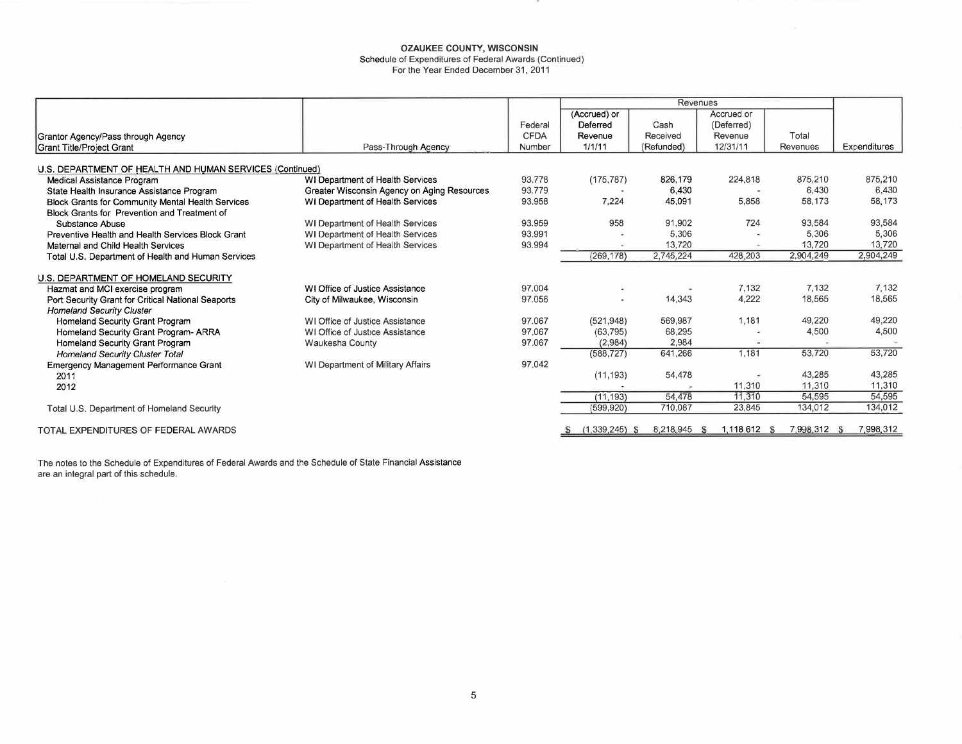Schedule of Expenditures of Federal Awards (Continued)

For the Year Ended December 31, 2011  $\,$ 

|                                                          |                                             |             | Revenues         |            |                     |              |              |
|----------------------------------------------------------|---------------------------------------------|-------------|------------------|------------|---------------------|--------------|--------------|
|                                                          |                                             |             | (Accrued) or     |            | Accrued or          |              |              |
|                                                          |                                             | Federal     | Deferred         | Cash       | (Deferred)          |              |              |
| Grantor Agency/Pass through Agency                       |                                             | <b>CFDA</b> | Revenue          | Received   | Revenue             | Total        |              |
| Grant Title/Project Grant                                | Pass-Through Agency                         | Number      | 1/1/11           | (Refunded) | 12/31/11            | Revenues     | Expenditures |
|                                                          |                                             |             |                  |            |                     |              |              |
| U.S. DEPARTMENT OF HEALTH AND HUMAN SERVICES (Continued) |                                             |             |                  |            |                     |              |              |
| Medical Assistance Program                               | WI Department of Health Services            | 93.778      | (175, 787)       | 826.179    | 224,818             | 875,210      | 875,210      |
| State Health Insurance Assistance Program                | Greater Wisconsin Agency on Aging Resources | 93.779      |                  | 6.430      |                     | 6.430        | 6.430        |
| Block Grants for Community Mental Health Services        | WI Department of Health Services            | 93.958      | 7,224            | 45,091     | 5,858               | 58,173       | 58.173       |
| Block Grants for Prevention and Treatment of             |                                             |             |                  |            |                     |              |              |
| Substance Abuse                                          | WI Department of Health Services            | 93.959      | 958              | 91,902     | 724                 | 93,584       | 93,584       |
| Preventive Health and Health Services Block Grant        | WI Department of Health Services            | 93.991      | $\sim$           | 5,306      |                     | 5,306        | 5,306        |
| Maternal and Child Health Services                       | WI Department of Health Services            | 93.994      |                  | 13,720     |                     | 13.720       | 13.720       |
| Total U.S. Department of Health and Human Services       |                                             |             | (269, 178)       | 2,745,224  | 428,203             | 2,904,249    | 2.904,249    |
| U.S. DEPARTMENT OF HOMELAND SECURITY                     |                                             |             |                  |            |                     |              |              |
| Hazmat and MCI exercise program                          | WI Office of Justice Assistance             | 97.004      |                  |            | 7.132               | 7,132        | 7.132        |
| Port Security Grant for Critical National Seaports       | City of Milwaukee, Wisconsin                | 97.056      | $\mathbf{u}$     | 14,343     | 4,222               | 18,565       | 18.565       |
| <b>Homeland Security Cluster</b>                         |                                             |             |                  |            |                     |              |              |
| Homeland Security Grant Program                          | WI Office of Justice Assistance             | 97.067      | (521, 948)       | 569,987    | 1.181               | 49.220       | 49,220       |
| Homeland Security Grant Program- ARRA                    | WI Office of Justice Assistance             | 97.067      | (63, 795)        | 68,295     |                     | 4,500        | 4,500        |
| Homeland Security Grant Program                          | Waukesha County                             | 97.067      | (2,984)          | 2,984      |                     |              |              |
| <b>Homeland Security Cluster Total</b>                   |                                             |             | (588, 727)       | 641,266    | 1,181               | 53,720       | 53,720       |
| <b>Emergency Management Performance Grant</b>            | WI Department of Military Affairs           | 97.042      |                  |            |                     |              |              |
| 2011                                                     |                                             |             | (11, 193)        | 54,478     |                     | 43,285       | 43,285       |
| 2012                                                     |                                             |             |                  |            | 11,310              | 11,310       | 11,310       |
|                                                          |                                             |             | (11, 193)        | 54,478     | 11,310              | 54,595       | 54,595       |
| Total U.S. Department of Homeland Security               |                                             |             | (599, 920)       | 710,087    | 23,845              | 134,012      | 134,012      |
|                                                          |                                             |             |                  |            |                     |              |              |
| TOTAL EXPENDITURES OF FEDERAL AWARDS                     |                                             |             | $(1,339,245)$ \$ | 8,218,945  | 1,118,612 \$<br>- S | 7,998,312 \$ | 7.998,312    |

The notes to the Schedule of Expenditures of Federal Awards and the Schedule of State Financial Assistan are an integral part of this schedule.